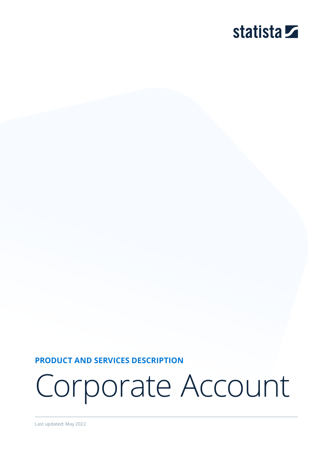# statista **Z**

**PRODUCT AND SERVICES DESCRIPTION**

Corporate Account

Last updated: May 2022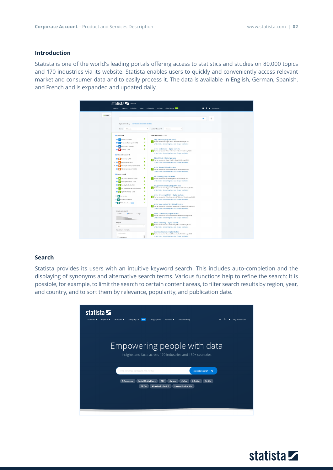## **Introduction**

Statista is one of the world's leading portals offering access to statistics and studies on 80,000 topics and 170 industries via its website. Statista enables users to quickly and conveniently access relevant market and consumer data and to easily process it. The data is available in English, German, Spanish, and French and is expanded and updated daily.

|                  | statista <b>Z</b><br>Welcome<br>Statistics * Reports * Outlooks *                                                                                                                                                                                                                                                                                                                                                                                                                                                                                                                             | Tools = Infographics Services = Global Survey (MDW)                                                                                                                                                                                                                                                                                                                                                                                                                                                                                                                                                                                                                                                                                                                                                                                                                                                                                                                                                                                                                                                                                                                                                       | * My Account *<br>$\bullet$ |
|------------------|-----------------------------------------------------------------------------------------------------------------------------------------------------------------------------------------------------------------------------------------------------------------------------------------------------------------------------------------------------------------------------------------------------------------------------------------------------------------------------------------------------------------------------------------------------------------------------------------------|-----------------------------------------------------------------------------------------------------------------------------------------------------------------------------------------------------------------------------------------------------------------------------------------------------------------------------------------------------------------------------------------------------------------------------------------------------------------------------------------------------------------------------------------------------------------------------------------------------------------------------------------------------------------------------------------------------------------------------------------------------------------------------------------------------------------------------------------------------------------------------------------------------------------------------------------------------------------------------------------------------------------------------------------------------------------------------------------------------------------------------------------------------------------------------------------------------------|-----------------------------|
| <b>• 18 NEWS</b> | My search history: world economic outlook database                                                                                                                                                                                                                                                                                                                                                                                                                                                                                                                                            |                                                                                                                                                                                                                                                                                                                                                                                                                                                                                                                                                                                                                                                                                                                                                                                                                                                                                                                                                                                                                                                                                                                                                                                                           | D<br>$\alpha$               |
|                  | Sort by<br>Relevance                                                                                                                                                                                                                                                                                                                                                                                                                                                                                                                                                                          | Location Focus O<br>۰.<br>Germany                                                                                                                                                                                                                                                                                                                                                                                                                                                                                                                                                                                                                                                                                                                                                                                                                                                                                                                                                                                                                                                                                                                                                                         |                             |
|                  | <b>D</b> Statistics <b>O</b><br><b>B</b> Tr Statistics (> 1,000)<br><b>B</b> 15 Forecasts & surveys (> 1,000)<br>$\Box$ Infographics (> 1,000)<br><b>D</b> Topics (> 1,000)<br>Studies & Reports O<br><b>D</b> Dossiers (> 1,000)<br>$\triangleright$ <b>B</b> $\cdot$ Statista studies (477)<br>$-2$<br>n Industry & country reports (562)<br><b>B</b> B Additional studies (> 1,000)<br><b>2</b> Expert tools O<br><b>B</b> Consumer Markets (> 1,000)<br>2 A Mobility Markets ( 1,050)<br><b>B</b> Country Outlooks (958)<br>Technology Market Cutlooks (461)<br>Digital Markets (> 1,000) | SEARCH RESULTS (> 1,000)<br>$\bullet$<br>Digital Media   Digital Markets<br>Market forecast for Digital Media in the World through 2024<br>$\bullet$<br>United States - United Kingdom - Asia - Europe - worldwide<br>$\bullet$<br>Video-on-Demand   Digital Markets<br>$\bullet$<br>Market forecast for Video on-Demand in the World through 2024<br>United States - United Kingdom - Asia - Europe - worldwide<br>Digital Music   Digital Markets<br>$\bullet$<br>Market forecast for Digital Music in the World through 2024<br>$\bullet$<br>United States - United Kingdom - Asia - Europe - worldwide<br>$\bullet$<br>Video Games   Digital Markets<br>$\bullet$<br>Market forecast for Video Games in the World through 2024<br>United States - United Kingdom - Asia - Europe - worldwide<br>ePublishing   Digital Markets<br>$\bullet$<br>Market forecast for ePublishing in the World through 2024<br>United States - United Kingdom - Asia - Europe - worldwide<br>$\bullet$<br>$\bullet$<br>Pay-per-View (TVoD)   Digital Markets<br>Market forecast for Pay-per-View (TVoD) in the World through 2024<br>$\bullet$<br>United States - United Kingdom - Asia - Europe - worldwide<br>$\bullet$ |                             |
|                  | Companies<br><b>G III</b> Business Plan Export<br><b>C</b> <sup>a</sup> <b>A</b> Publication Finder <b>MTA</b>                                                                                                                                                                                                                                                                                                                                                                                                                                                                                | Video Streaming (SVoD)   Digital Markets<br>$\bullet$<br>Market forecast for Video Streaming (SVoD) in the World through 2024<br>$\bullet$<br>United States - United Kingdom - Asia - Europe - worldwide<br>۰<br>Video Downloads (EST)   Digital Markets<br>Market forecast for Video Downloads (EST) in the World through 2024                                                                                                                                                                                                                                                                                                                                                                                                                                                                                                                                                                                                                                                                                                                                                                                                                                                                           |                             |
|                  | Search accuracy O<br>OWde<br><b>O</b> Normal<br>CHigh<br>Regions                                                                                                                                                                                                                                                                                                                                                                                                                                                                                                                              | United States - United Kingdom - Asia - Europe - worldwide<br>Music Downloads   Digital Markets<br>Market forecast for Music Downloads in the World through 2024<br>United States - United Kingdom - Asia - Europe - worldwide                                                                                                                                                                                                                                                                                                                                                                                                                                                                                                                                                                                                                                                                                                                                                                                                                                                                                                                                                                            |                             |
|                  | All<br>٠                                                                                                                                                                                                                                                                                                                                                                                                                                                                                                                                                                                      | Music Streaming   Digital Markets<br>Market forecast for Music Streaming in the World through 2024<br>United States - United Kingdom - Asia - Europe - worldwide                                                                                                                                                                                                                                                                                                                                                                                                                                                                                                                                                                                                                                                                                                                                                                                                                                                                                                                                                                                                                                          |                             |
|                  | Countries & Territories<br>country search<br>Afghanistan                                                                                                                                                                                                                                                                                                                                                                                                                                                                                                                                      | Download Games   Digital Markets<br>Market forecast for Download Games in the World through 2024<br>United States - United Kingdom - Asia - Europe - worldwide                                                                                                                                                                                                                                                                                                                                                                                                                                                                                                                                                                                                                                                                                                                                                                                                                                                                                                                                                                                                                                            |                             |

## **Search**

Statista provides its users with an intuitive keyword search. This includes auto-completion and the displaying of synonyms and alternative search terms. Various functions help to refine the search: It is possible, for example, to limit the search to certain content areas, to filter search results by region, year, and country, and to sort them by relevance, popularity, and publication date.



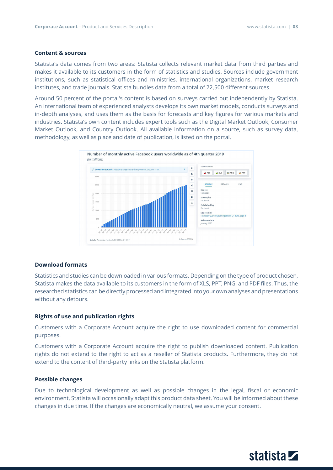## **Content & sources**

Statista's data comes from two areas: Statista collects relevant market data from third parties and makes it available to its customers in the form of statistics and studies. Sources include government institutions, such as statistical offices and ministries, international organizations, market research institutes, and trade journals. Statista bundles data from a total of 22,500 different sources.

Around 50 percent of the portal's content is based on surveys carried out independently by Statista. An international team of experienced analysts develops its own market models, conducts surveys and in-depth analyses, and uses them as the basis for forecasts and key figures for various markets and industries. Statista's own content includes expert tools such as the Digital Market Outlook, Consumer Market Outlook, and Country Outlook. All available information on a source, such as survey data, methodology, as well as place and date of publication, is listed on the portal.



#### **Download formats**

Statistics and studies can be downloaded in various formats. Depending on the type of product chosen, Statista makes the data available to its customers in the form of XLS, PPT, PNG, and PDF files. Thus, the researched statistics can be directly processed and integrated into your own analyses and presentations without any detours.

## **Rights of use and publication rights**

Customers with a Corporate Account acquire the right to use downloaded content for commercial purposes.

Customers with a Corporate Account acquire the right to publish downloaded content. Publication rights do not extend to the right to act as a reseller of Statista products. Furthermore, they do not extend to the content of third-party links on the Statista platform.

#### **Possible changes**

Due to technological development as well as possible changes in the legal, fiscal or economic environment, Statista will occasionally adapt this product data sheet. You will be informed about these changes in due time. If the changes are economically neutral, we assume your consent.

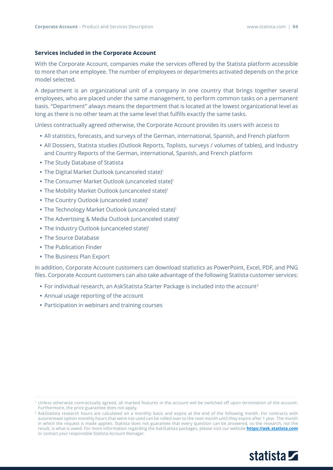## **Services included in the Corporate Account**

With the Corporate Account, companies make the services offered by the Statista platform accessible to more than one employee. The number of employees or departments activated depends on the price model selected.

A department is an organizational unit of a company in one country that brings together several employees, who are placed under the same management, to perform common tasks on a permanent basis. "Department" always means the department that is located at the lowest organizational level as long as there is no other team at the same level that fulfills exactly the same tasks.

Unless contractually agreed otherwise, the Corporate Account provides its users with access to

- All statistics, forecasts, and surveys of the German, international, Spanish, and French platform
- All Dossiers, Statista studies (Outlook Reports, Toplists, surveys / volumes of tables), and Industry and Country Reports of the German, international, Spanish, and French platform
- The Study Database of Statista
- The Digital Market Outlook (uncanceled state)<sup>1</sup>
- The Consumer Market Outlook (uncanceled state)<sup>1</sup>
- The Mobility Market Outlook (uncanceled state)<sup>1</sup>
- The Country Outlook (uncanceled state)<sup>1</sup>
- The Technology Market Outlook (uncanceled state)<sup>1</sup>
- The Advertising & Media Outlook (uncanceled state)<sup>1</sup>
- The Industry Outlook (uncanceled state)<sup>1</sup>
- The Source Database
- The Publication Finder
- The Business Plan Export

In addition, Corporate Account customers can download statistics as PowerPoint, Excel, PDF, and PNG files. Corporate Account customers can also take advantage of the following Statista customer services:

- For individual research, an AskStatista Starter Package is included into the account<sup>2</sup>
- Annual usage reporting of the account
- Participation in webinars and training courses

<sup>2</sup> AskStatista research hours are calculated on a monthly basis and expire at the end of the following month. For contracts with autorenewal option monthly hours that were not used can be rolled over to the next month until they expire after 1 year. The month in which the request is made applies. Statista does not guarantee that every question can be answered, so the research, not the result, is what is owed. For more information regarding the AskStatista packages, please visit our website **<https://ask.statista.com>** or contact your responsible Statista Account Manager.



<sup>1</sup> Unless otherwise contractually agreed, all marked features in the account will be switched off upon termination of the account. Furthermore, the price guarantee does not apply.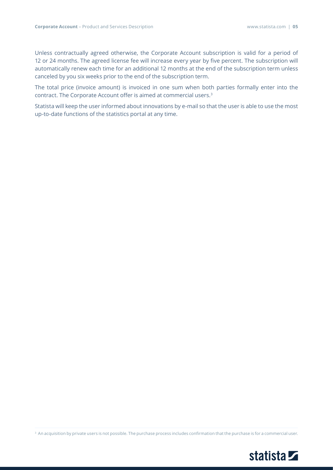Unless contractually agreed otherwise, the Corporate Account subscription is valid for a period of 12 or 24 months. The agreed license fee will increase every year by five percent. The subscription will automatically renew each time for an additional 12 months at the end of the subscription term unless canceled by you six weeks prior to the end of the subscription term.

The total price (invoice amount) is invoiced in one sum when both parties formally enter into the contract. The Corporate Account offer is aimed at commercial users.<sup>3</sup>

Statista will keep the user informed about innovations by e-mail so that the user is able to use the most up-to-date functions of the statistics portal at any time.

<sup>3</sup> An acquisition by private users is not possible. The purchase process includes confirmation that the purchase is for a commercial user.